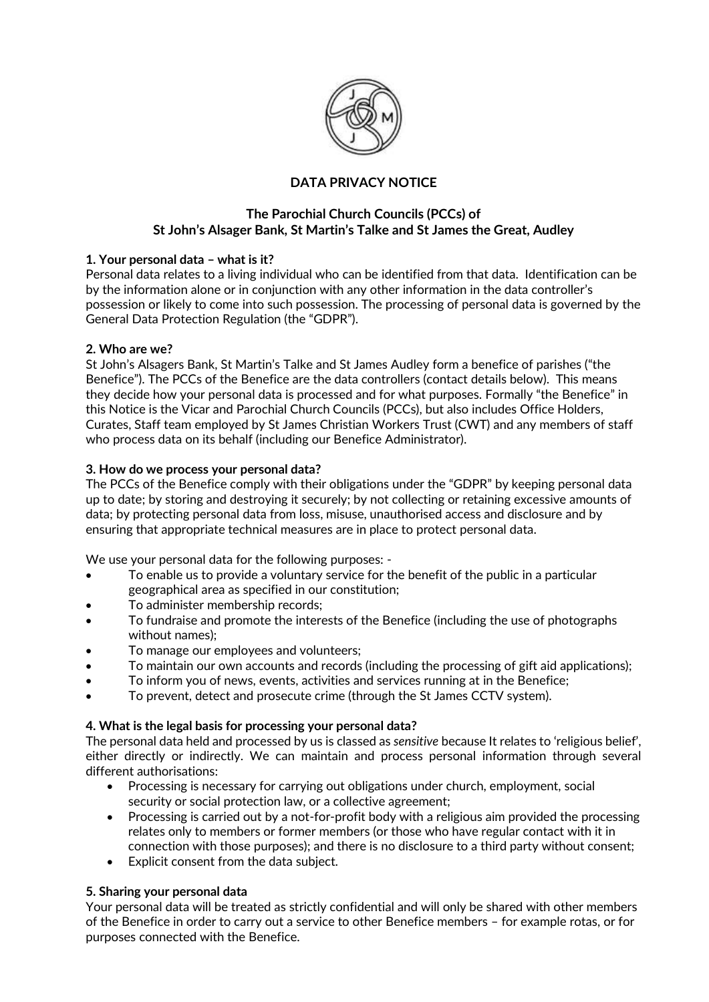

# **DATA PRIVACY NOTICE**

## **The Parochial Church Councils (PCCs) of St John's Alsager Bank, St Martin's Talke and St James the Great, Audley**

## **1. Your personal data – what is it?**

Personal data relates to a living individual who can be identified from that data. Identification can be by the information alone or in conjunction with any other information in the data controller's possession or likely to come into such possession. The processing of personal data is governed by the General Data Protection Regulation (the "GDPR").

#### **2. Who are we?**

St John's Alsagers Bank, St Martin's Talke and St James Audley form a benefice of parishes ("the Benefice"). The PCCs of the Benefice are the data controllers (contact details below). This means they decide how your personal data is processed and for what purposes. Formally "the Benefice" in this Notice is the Vicar and Parochial Church Councils (PCCs), but also includes Office Holders, Curates, Staff team employed by St James Christian Workers Trust (CWT) and any members of staff who process data on its behalf (including our Benefice Administrator).

#### **3. How do we process your personal data?**

The PCCs of the Benefice comply with their obligations under the "GDPR" by keeping personal data up to date; by storing and destroying it securely; by not collecting or retaining excessive amounts of data; by protecting personal data from loss, misuse, unauthorised access and disclosure and by ensuring that appropriate technical measures are in place to protect personal data.

We use your personal data for the following purposes: -

- To enable us to provide a voluntary service for the benefit of the public in a particular geographical area as specified in our constitution;
- To administer membership records;
- To fundraise and promote the interests of the Benefice (including the use of photographs without names);
- To manage our employees and volunteers;
- To maintain our own accounts and records (including the processing of gift aid applications);
- To inform you of news, events, activities and services running at in the Benefice;
- To prevent, detect and prosecute crime (through the St James CCTV system).

## **4. What is the legal basis for processing your personal data?**

The personal data held and processed by us is classed as *sensitive* because It relates to 'religious belief', either directly or indirectly. We can maintain and process personal information through several different authorisations:

- Processing is necessary for carrying out obligations under church, employment, social security or social protection law, or a collective agreement;
- Processing is carried out by a not-for-profit body with a religious aim provided the processing relates only to members or former members (or those who have regular contact with it in connection with those purposes); and there is no disclosure to a third party without consent;
- Explicit consent from the data subject.

#### **5. Sharing your personal data**

Your personal data will be treated as strictly confidential and will only be shared with other members of the Benefice in order to carry out a service to other Benefice members – for example rotas, or for purposes connected with the Benefice.